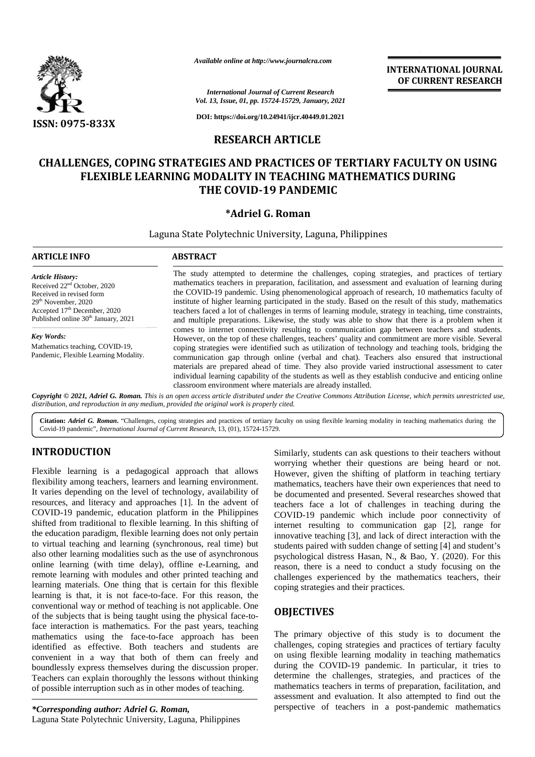

*Available online at http://www.journalcra.com*

## **RESEARCH ARTICLE**

#### **CHALLENGES, COPING STRATEGIES AND PRACTICES OF TERTIARY FACULTY ON USING FLEXIBLE LEARNING MODALITY IN TEACHING MATHEMATICS DURING THE COVID-19 PANDEMIC** NGES, COPING STRATEGIES AND PRACTICES OF T<br>FLEXIBLE LEARNING MODALITY IN TEACHING M<br>THE COVID-19 PANDEMIC

### **\*Adriel G. Roman**

|                                                                                                                                                                                                                                                                                                                                                                                                                                                                                                                                                                                                                                                                                                                                                                                                                                                                                               | Available online at http://www.journalcra.com                                                                                                                                                                                                                                                                                                                                                                                                                                                                                                                                                                                                                                                                                 |                                                                                                        | <b>INTERNATIONAL JOURNAL</b><br>OF CURRENT RESEARCH                                                                                                                                                                                                                                                                                                                                                                                                                                                                                                                                                                                                                                                                                                                                                                                         |
|-----------------------------------------------------------------------------------------------------------------------------------------------------------------------------------------------------------------------------------------------------------------------------------------------------------------------------------------------------------------------------------------------------------------------------------------------------------------------------------------------------------------------------------------------------------------------------------------------------------------------------------------------------------------------------------------------------------------------------------------------------------------------------------------------------------------------------------------------------------------------------------------------|-------------------------------------------------------------------------------------------------------------------------------------------------------------------------------------------------------------------------------------------------------------------------------------------------------------------------------------------------------------------------------------------------------------------------------------------------------------------------------------------------------------------------------------------------------------------------------------------------------------------------------------------------------------------------------------------------------------------------------|--------------------------------------------------------------------------------------------------------|---------------------------------------------------------------------------------------------------------------------------------------------------------------------------------------------------------------------------------------------------------------------------------------------------------------------------------------------------------------------------------------------------------------------------------------------------------------------------------------------------------------------------------------------------------------------------------------------------------------------------------------------------------------------------------------------------------------------------------------------------------------------------------------------------------------------------------------------|
|                                                                                                                                                                                                                                                                                                                                                                                                                                                                                                                                                                                                                                                                                                                                                                                                                                                                                               |                                                                                                                                                                                                                                                                                                                                                                                                                                                                                                                                                                                                                                                                                                                               | <b>International Journal of Current Research</b><br>Vol. 13, Issue, 01, pp. 15724-15729, January, 2021 |                                                                                                                                                                                                                                                                                                                                                                                                                                                                                                                                                                                                                                                                                                                                                                                                                                             |
| <b>ISSN: 0975-833X</b>                                                                                                                                                                                                                                                                                                                                                                                                                                                                                                                                                                                                                                                                                                                                                                                                                                                                        | DOI: https://doi.org/10.24941/ijcr.40449.01.2021                                                                                                                                                                                                                                                                                                                                                                                                                                                                                                                                                                                                                                                                              |                                                                                                        |                                                                                                                                                                                                                                                                                                                                                                                                                                                                                                                                                                                                                                                                                                                                                                                                                                             |
|                                                                                                                                                                                                                                                                                                                                                                                                                                                                                                                                                                                                                                                                                                                                                                                                                                                                                               | <b>RESEARCH ARTICLE</b>                                                                                                                                                                                                                                                                                                                                                                                                                                                                                                                                                                                                                                                                                                       |                                                                                                        |                                                                                                                                                                                                                                                                                                                                                                                                                                                                                                                                                                                                                                                                                                                                                                                                                                             |
|                                                                                                                                                                                                                                                                                                                                                                                                                                                                                                                                                                                                                                                                                                                                                                                                                                                                                               | FLEXIBLE LEARNING MODALITY IN TEACHING MATHEMATICS DURING                                                                                                                                                                                                                                                                                                                                                                                                                                                                                                                                                                                                                                                                     | THE COVID-19 PANDEMIC<br>*Adriel G. Roman                                                              | <b>CHALLENGES, COPING STRATEGIES AND PRACTICES OF TERTIARY FACULTY ON USING</b>                                                                                                                                                                                                                                                                                                                                                                                                                                                                                                                                                                                                                                                                                                                                                             |
|                                                                                                                                                                                                                                                                                                                                                                                                                                                                                                                                                                                                                                                                                                                                                                                                                                                                                               | Laguna State Polytechnic University, Laguna, Philippines                                                                                                                                                                                                                                                                                                                                                                                                                                                                                                                                                                                                                                                                      |                                                                                                        |                                                                                                                                                                                                                                                                                                                                                                                                                                                                                                                                                                                                                                                                                                                                                                                                                                             |
| <b>ARTICLE INFO</b>                                                                                                                                                                                                                                                                                                                                                                                                                                                                                                                                                                                                                                                                                                                                                                                                                                                                           | <b>ABSTRACT</b>                                                                                                                                                                                                                                                                                                                                                                                                                                                                                                                                                                                                                                                                                                               |                                                                                                        |                                                                                                                                                                                                                                                                                                                                                                                                                                                                                                                                                                                                                                                                                                                                                                                                                                             |
| <b>Article History:</b><br>Received 22 <sup>nd</sup> October, 2020<br>Received in revised form<br>29 <sup>th</sup> November, 2020<br>Accepted 17th December, 2020<br>Published online 30 <sup>th</sup> January, 2021                                                                                                                                                                                                                                                                                                                                                                                                                                                                                                                                                                                                                                                                          | The study attempted to determine the challenges, coping strategies, and practices of tertiary<br>mathematics teachers in preparation, facilitation, and assessment and evaluation of learning during<br>the COVID-19 pandemic. Using phenomenological approach of research, 10 mathematics faculty of<br>institute of higher learning participated in the study. Based on the result of this study, mathematics<br>teachers faced a lot of challenges in terms of learning module, strategy in teaching, time constraints,<br>and multiple preparations. Likewise, the study was able to show that there is a problem when it<br>comes to internet connectivity resulting to communication gap between teachers and students. |                                                                                                        |                                                                                                                                                                                                                                                                                                                                                                                                                                                                                                                                                                                                                                                                                                                                                                                                                                             |
| <b>Key Words:</b><br>Mathematics teaching, COVID-19,<br>Pandemic, Flexible Learning Modality.<br>distribution, and reproduction in any medium, provided the original work is properly cited.                                                                                                                                                                                                                                                                                                                                                                                                                                                                                                                                                                                                                                                                                                  |                                                                                                                                                                                                                                                                                                                                                                                                                                                                                                                                                                                                                                                                                                                               | classroom environment where materials are already installed.                                           | However, on the top of these challenges, teachers' quality and commitment are more visible. Several<br>coping strategies were identified such as utilization of technology and teaching tools, bridging the<br>communication gap through online (verbal and chat). Teachers also ensured that instructional<br>materials are prepared ahead of time. They also provide varied instructional assessment to cater<br>individual learning capability of the students as well as they establish conducive and enticing online<br>Copyright © 2021, Adriel G. Roman. This is an open access article distributed under the Creative Commons Attribution License, which permits unrestricted use,                                                                                                                                                  |
| Covid-19 pandemic", International Journal of Current Research, 13, (01), 15724-15729.                                                                                                                                                                                                                                                                                                                                                                                                                                                                                                                                                                                                                                                                                                                                                                                                         |                                                                                                                                                                                                                                                                                                                                                                                                                                                                                                                                                                                                                                                                                                                               |                                                                                                        | Citation: Adriel G. Roman. "Challenges, coping strategies and practices of tertiary faculty on using flexible learning modality in teaching mathematics during the                                                                                                                                                                                                                                                                                                                                                                                                                                                                                                                                                                                                                                                                          |
| <b>INTRODUCTION</b><br>Flexible learning is a pedagogical approach that allows<br>flexibility among teachers, learners and learning environment.<br>It varies depending on the level of technology, availability of<br>resources, and literacy and approaches [1]. In the advent of<br>COVID-19 pandemic, education platform in the Philippines<br>shifted from traditional to flexible learning. In this shifting of<br>the education paradigm, flexible learning does not only pertain<br>to virtual teaching and learning (synchronous, real time) but<br>also other learning modalities such as the use of asynchronous<br>online learning (with time delay), offline e-Learning, and<br>remote learning with modules and other printed teaching and<br>learning materials. One thing that is certain for this flexible<br>learning is that, it is not face-to-face. For this reason, the |                                                                                                                                                                                                                                                                                                                                                                                                                                                                                                                                                                                                                                                                                                                               | coping strategies and their practices.                                                                 | Similarly, students can ask questions to their teachers without<br>worrying whether their questions are being heard or not.<br>However, given the shifting of platform in teaching tertiary<br>mathematics, teachers have their own experiences that need to<br>be documented and presented. Several researches showed that<br>teachers face a lot of challenges in teaching during the<br>COVID-19 pandemic which include poor connectivity of<br>internet resulting to communication gap [2], range for<br>innovative teaching [3], and lack of direct interaction with the<br>students paired with sudden change of setting [4] and student's<br>psychological distress Hasan, N., & Bao, Y. (2020). For this<br>reason, there is a need to conduct a study focusing on the<br>challenges experienced by the mathematics teachers, their |
| conventional way or method of teaching is not applicable. One<br>of the subjects that is being taught using the physical face-to-<br>face interaction is mathematics. For the past years, teaching<br>mathematics using the face-to-face approach has been<br>identified as effective. Both teachers and students are<br>convenient in a way that both of them can freely and<br>boundlessly express themselves during the discussion proper.<br>Teachers can explain thoroughly the lessons without thinking<br>of possible interruption such as in other modes of teaching.<br>*Corresponding author: Adriel G. Roman.                                                                                                                                                                                                                                                                      |                                                                                                                                                                                                                                                                                                                                                                                                                                                                                                                                                                                                                                                                                                                               | <b>OBJECTIVES</b>                                                                                      | The primary objective of this study is to document the<br>challenges, coping strategies and practices of tertiary faculty<br>on using flexible learning modality in teaching mathematics<br>during the COVID-19 pandemic. In particular, it tries to<br>determine the challenges, strategies, and practices of the<br>mathematics teachers in terms of preparation, facilitation, and<br>assessment and evaluation. It also attempted to find out the<br>perspective of teachers in a post-pandemic mathematics                                                                                                                                                                                                                                                                                                                             |

# **INTRODUCTION INTRODUCTION**

## **OBJECTIVES**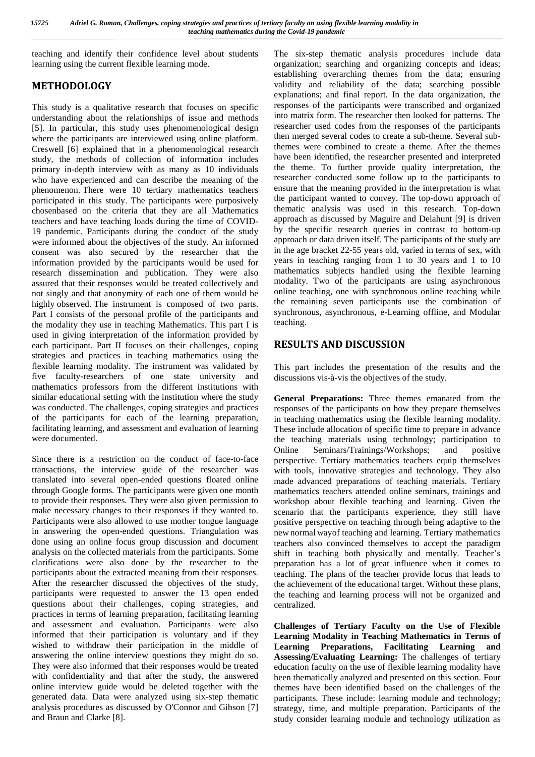teaching and identify their confidence level about students learning using the current flexible learning mode.

## **METHODOLOGY**

This study is a qualitative research that focuses on specific understanding about the relationships of issue and methods [5]. In particular, this study uses phenomenological design where the participants are interviewed using online platform. Creswell [6] explained that in a phenomenological research study, the methods of collection of information includes primary in-depth interview with as many as 10 individuals who have experienced and can describe the meaning of the phenomenon. There were 10 tertiary mathematics teachers participated in this study. The participants were purposively chosenbased on the criteria that they are all Mathematics teachers and have teaching loads during the time of COVID- 19 pandemic. Participants during the conduct of the study were informed about the objectives of the study. An informed consent was also secured by the researcher that the information provided by the participants would be used for research dissemination and publication. They were also assured that their responses would be treated collectively and not singly and that anonymity of each one of them would be highly observed. The instrument is composed of two parts. Part I consists of the personal profile of the participants and the modality they use in teaching Mathematics. This part I is used in giving interpretation of the information provided by each participant. Part II focuses on their challenges, coping strategies and practices in teaching mathematics using the flexible learning modality. The instrument was validated by five faculty-researchers of one state university and mathematics professors from the different institutions with similar educational setting with the institution where the study was conducted. The challenges, coping strategies and practices of the participants for each of the learning preparation, facilitating learning, and assessment and evaluation of learning were documented.

Since there is a restriction on the conduct of face-to-face transactions, the interview guide of the researcher was translated into several open-ended questions floated online through Google forms. The participants were given one month to provide their responses. They were also given permission to make necessary changes to their responses if they wanted to. Participants were also allowed to use mother tongue language in answering the open-ended questions. Triangulation was done using an online focus group discussion and document analysis on the collected materials from the participants. Some clarifications were also done by the researcher to the participants about the extracted meaning from their responses. After the researcher discussed the objectives of the study, participants were requested to answer the 13 open ended questions about their challenges, coping strategies, and practices in terms of learning preparation, facilitating learning and assessment and evaluation. Participants were also informed that their participation is voluntary and if they wished to withdraw their participation in the middle of answering the online interview questions they might do so. They were also informed that their responses would be treated with confidentiality and that after the study, the answered online interview guide would be deleted together with the generated data. Data were analyzed using six-step thematic analysis procedures as discussed by O'Connor and Gibson [7] and Braun and Clarke [8].

The six-step thematic analysis procedures include data organization; searching and organizing concepts and ideas; establishing overarching themes from the data; ensuring validity and reliability of the data; searching possible explanations; and final report. In the data organization, the responses of the participants were transcribed and organized into matrix form. The researcher then looked for patterns. The researcher used codes from the responses of the participants then merged several codes to create a sub-theme. Several subthemes were combined to create a theme. After the themes have been identified, the researcher presented and interpreted the theme. To further provide quality interpretation, the researcher conducted some follow up to the participants to ensure that the meaning provided in the interpretation is what the participant wanted to convey. The top-down approach of thematic analysis was used in this research. Top-down approach as discussed by Maguire and Delahunt [9] is driven by the specific research queries in contrast to bottom-up approach or data driven itself. The participants of the study are in the age bracket 22-55 years old, varied in terms of sex, with years in teaching ranging from 1 to 30 years and 1 to 10 mathematics subjects handled using the flexible learning modality. Two of the participants are using asynchronous online teaching, one with synchronous online teaching while the remaining seven participants use the combination of synchronous, asynchronous, e-Learning offline, and Modular teaching.

## **RESULTS AND DISCUSSION**

This part includes the presentation of the results and the discussions vis-à-vis the objectives of the study.

**General Preparations:** Three themes emanated from the responses of the participants on how they prepare themselves in teaching mathematics using the flexible learning modality. These include allocation of specific time to prepare in advance the teaching materials using technology; participation to Online Seminars/Trainings/Workshops; and positive perspective. Tertiary mathematics teachers equip themselves with tools, innovative strategies and technology. They also made advanced preparations of teaching materials. Tertiary mathematics teachers attended online seminars, trainings and workshop about flexible teaching and learning. Given the scenario that the participants experience, they still have positive perspective on teaching through being adaptive to the new normal wayof teaching and learning. Tertiary mathematics teachers also convinced themselves to accept the paradigm shift in teaching both physically and mentally. Teacher's preparation has a lot of great influence when it comes to teaching. The plans of the teacher provide locus that leads to the achievement of the educational target. Without these plans, the teaching and learning process will not be organized and centralized.

**Challenges of Tertiary Faculty on the Use of Flexible Learning Modality in Teaching Mathematics in Terms of Learning Preparations, Facilitating Learning and Assessing/Evaluating Learning:** The challenges of tertiary education faculty on the use of flexible learning modality have been thematically analyzed and presented on this section. Four themes have been identified based on the challenges of the participants. These include: learning module and technology; strategy, time, and multiple preparation. Participants of the study consider learning module and technology utilization as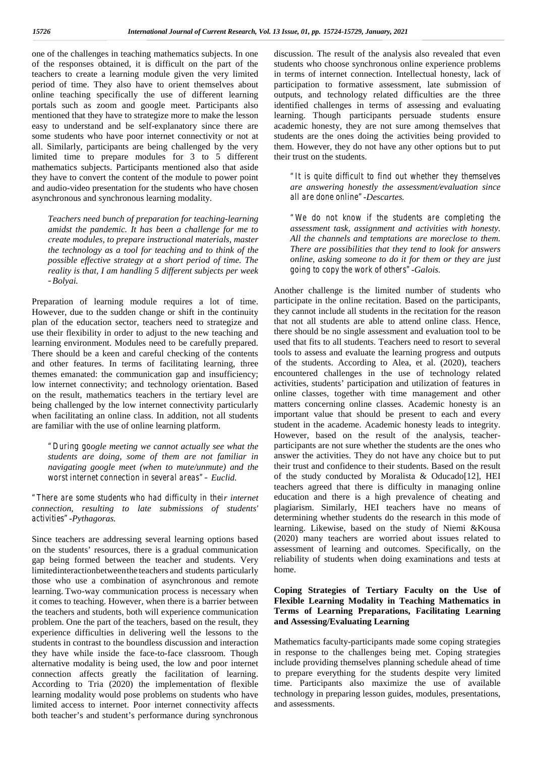one of the challenges in teaching mathematics subjects. In one of the responses obtained, it is difficult on the part of the teachers to create a learning module given the very limited period of time. They also have to orient themselves about online teaching specifically the use of different learning portals such as zoom and google meet. Participants also mentioned that they have to strategize more to make the lesson easy to understand and be self-explanatory since there are some students who have poor internet connectivity or not at all. Similarly, participants are being challenged by the very limited time to prepare modules for 3 to 5 different mathematics subjects. Participants mentioned also that aside they have to convert the content of the module to power point and audio-video presentation for the students who have chosen asynchronous and synchronous learning modality.

*Teachers need bunch of preparation for teaching-learning amidst the pandemic. It has been a challenge for me to create modules, to prepare instructional materials, master the technology as a tool for teaching and to think of the possible effective strategy at a short period of time. The reality is that, I am handling 5 different subjects per week –Bolyai.*

Preparation of learning module requires a lot of time. However, due to the sudden change or shift in the continuity plan of the education sector, teachers need to strategize and use their flexibility in order to adjust to the new teaching and learning environment. Modules need to be carefully prepared. There should be a keen and careful checking of the contents and other features. In terms of facilitating learning, three themes emanated: the communication gap and insufficiency; low internet connectivity; and technology orientation. Based on the result, mathematics teachers in the tertiary level are being challenged by the low internet connectivity particularly when facilitating an online class. In addition, not all students are familiar with the use of online learning platform.

*"During google meeting we cannot actually see what the students are doing, some of them are not familiar in navigating google meet (when to mute/unmute) and the worst internet connection in several areas"– Euclid.*

*"There are some students who had difficulty in their internet connection, resulting to late submissions of students' activities"-Pythagoras.*

Since teachers are addressing several learning options based on the students' resources, there is a gradual communication gap being formed between the teacher and students. Very limitedinteractionbetweenthe teachers and students particularly those who use a combination of asynchronous and remote learning. Two-way communication process is necessary when it comes to teaching. However, when there is a barrier between the teachers and students, both will experience communication problem. One the part of the teachers, based on the result, they experience difficulties in delivering well the lessons to the students in contrast to the boundless discussion and interaction they have while inside the face-to-face classroom. Though alternative modality is being used, the low and poor internet connection affects greatly the facilitation of learning. According to Tria (2020) the implementation of flexible learning modality would pose problems on students who have limited access to internet. Poor internet connectivity affects both teacher's and student's performance during synchronous

discussion. The result of the analysis also revealed that even students who choose synchronous online experience problems in terms of internet connection. Intellectual honesty, lack of participation to formative assessment, late submission of outputs, and technology related difficulties are the three identified challenges in terms of assessing and evaluating learning. Though participants persuade students ensure academic honesty, they are not sure among themselves that students are the ones doing the activities being provided to them. However, they do not have any other options but to put their trust on the students.

*"It is quite difficult to find out whether they themselves are answering honestly the assessment/evaluation since all are done online"-Descartes.*

*"We do not know if the students are completing the assessment task, assignment and activities with honesty. All the channels and temptations are moreclose to them. There are possibilities that they tend to look for answers online, asking someone to do it for them or they are just going to copy the work of others"-Galois.*

Another challenge is the limited number of students who participate in the online recitation. Based on the participants, they cannot include all students in the recitation for the reason that not all students are able to attend online class. Hence, there should be no single assessment and evaluation tool to be used that fits to all students. Teachers need to resort to several tools to assess and evaluate the learning progress and outputs of the students. According to Alea, et al. (2020), teachers encountered challenges in the use of technology related activities, students' participation and utilization of features in online classes, together with time management and other matters concerning online classes. Academic honesty is an important value that should be present to each and every student in the academe. Academic honesty leads to integrity. However, based on the result of the analysis, teacher participants are not sure whether the students are the ones who answer the activities. They do not have any choice but to put their trust and confidence to their students. Based on the result of the study conducted by Moralista & Oducado[12], HEI teachers agreed that there is difficulty in managing online education and there is a high prevalence of cheating and plagiarism. Similarly, HEI teachers have no means of determining whether students do the research in this mode of learning. Likewise, based on the study of Niemi &Kousa (2020) many teachers are worried about issues related to assessment of learning and outcomes. Specifically, on the reliability of students when doing examinations and tests at home.

#### **Coping Strategies of Tertiary Faculty on the Use of Flexible Learning Modality in Teaching Mathematics in Terms of Learning Preparations, Facilitating Learning and Assessing/Evaluating Learning**

Mathematics faculty-participants made some coping strategies in response to the challenges being met. Coping strategies include providing themselves planning schedule ahead of time to prepare everything for the students despite very limited time. Participants also maximize the use of available technology in preparing lesson guides, modules, presentations, and assessments.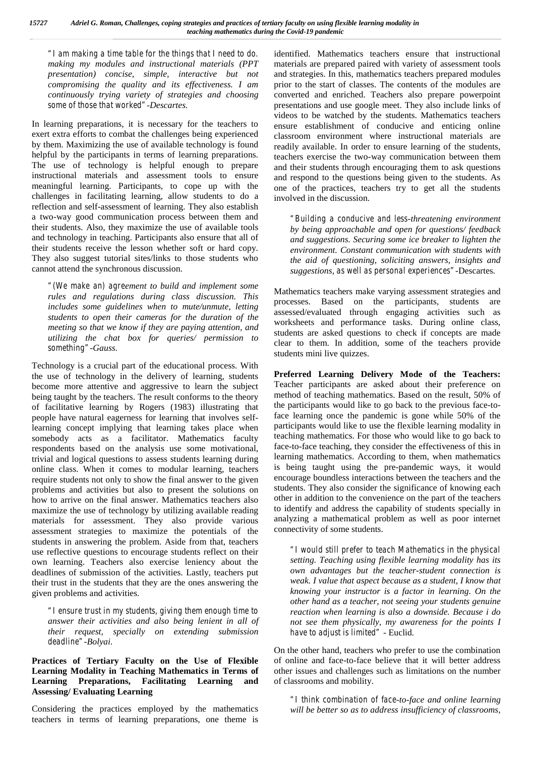*"I am making a time table for the things that I need to do. making my modules and instructional materials (PPT presentation) concise, simple, interactive but not compromising the quality and its effectiveness. I am continuously trying variety of strategies and choosing some of those that worked"-Descartes.*

In learning preparations, it is necessary for the teachers to exert extra efforts to combat the challenges being experienced by them. Maximizing the use of available technology is found helpful by the participants in terms of learning preparations. The use of technology is helpful enough to prepare instructional materials and assessment tools to ensure meaningful learning. Participants, to cope up with the challenges in facilitating learning, allow students to do a reflection and self-assessment of learning. They also establish a two-way good communication process between them and their students. Also, they maximize the use of available tools and technology in teaching. Participants also ensure that all of their students receive the lesson whether soft or hard copy. They also suggest tutorial sites/links to those students who cannot attend the synchronous discussion.

*"(We make an) agreement to build and implement some rules and regulations during class discussion. This includes some guidelines when to mute/unmute, letting students to open their cameras for the duration of the meeting so that we know if they are paying attention, and utilizing the chat box for queries/ permission to something"-Gauss.*

Technology is a crucial part of the educational process. With the use of technology in the delivery of learning, students become more attentive and aggressive to learn the subject being taught by the teachers. The result conforms to the theory of facilitative learning by Rogers (1983) illustrating that people have natural eagerness for learning that involves selflearning concept implying that learning takes place when somebody acts as a facilitator. Mathematics faculty respondents based on the analysis use some motivational, trivial and logical questions to assess students learning during online class. When it comes to modular learning, teachers require students not only to show the final answer to the given problems and activities but also to present the solutions on how to arrive on the final answer. Mathematics teachers also maximize the use of technology by utilizing available reading materials for assessment. They also provide various assessment strategies to maximize the potentials of the students in answering the problem. Aside from that, teachers use reflective questions to encourage students reflect on their own learning. Teachers also exercise leniency about the deadlines of submission of the activities. Lastly, teachers put their trust in the students that they are the ones answering the given problems and activities.

*"I ensure trust in my students, giving them enough time to answer their activities and also being lenient in all of their request, specially on extending submission deadline"-Bolyai*.

### **Practices of Tertiary Faculty on the Use of Flexible Learning Modality in Teaching Mathematics in Terms of Learning Preparations, Facilitating Learning and Assessing/ Evaluating Learning**

Considering the practices employed by the mathematics teachers in terms of learning preparations, one theme is

identified. Mathematics teachers ensure that instructional materials are prepared paired with variety of assessment tools and strategies. In this, mathematics teachers prepared modules prior to the start of classes. The contents of the modules are converted and enriched. Teachers also prepare powerpoint presentations and use google meet. They also include links of videos to be watched by the students. Mathematics teachers ensure establishment of conducive and enticing online classroom environment where instructional materials are readily available. In order to ensure learning of the students, teachers exercise the two-way communication between them and their students through encouraging them to ask questions and respond to the questions being given to the students. As one of the practices, teachers try to get all the students involved in the discussion.

*"Building a conducive and less-threatening environment by being approachable and open for questions/ feedback and suggestions. Securing some ice breaker to lighten the environment. Constant communication with students with the aid of questioning, soliciting answers, insights and suggestions, as well as personal experiences"-*Descartes*.*

Mathematics teachers make varying assessment strategies and processes. Based on the participants, students are assessed/evaluated through engaging activities such as worksheets and performance tasks. During online class, students are asked questions to check if concepts are made clear to them. In addition, some of the teachers provide students mini live quizzes.

**Preferred Learning Delivery Mode of the Teachers:** Teacher participants are asked about their preference on method of teaching mathematics. Based on the result, 50% of the participants would like to go back to the previous face-toface learning once the pandemic is gone while 50% of the participants would like to use the flexible learning modality in teaching mathematics. For those who would like to go back to face-to-face teaching, they consider the effectiveness of this in learning mathematics. According to them, when mathematics is being taught using the pre-pandemic ways, it would encourage boundless interactions between the teachers and the students. They also consider the significance of knowing each other in addition to the convenience on the part of the teachers to identify and address the capability of students specially in analyzing a mathematical problem as well as poor internet connectivity of some students.

*"I would still prefer to teach Mathematics in the physical setting. Teaching using flexible learning modality has its own advantages but the teacher-student connection is weak. I value that aspect because as a student, I know that knowing your instructor is a factor in learning. On the other hand as a teacher, not seeing your students genuine reaction when learning is also a downside. Because i do not see them physically, my awareness for the points I have to adjust is limited" -* Euclid*.*

On the other hand, teachers who prefer to use the combination of online and face-to-face believe that it will better address other issues and challenges such as limitations on the number of classrooms and mobility.

*"I think combination of face-to-face and online learning will be better so as to address insufficiency of classrooms,*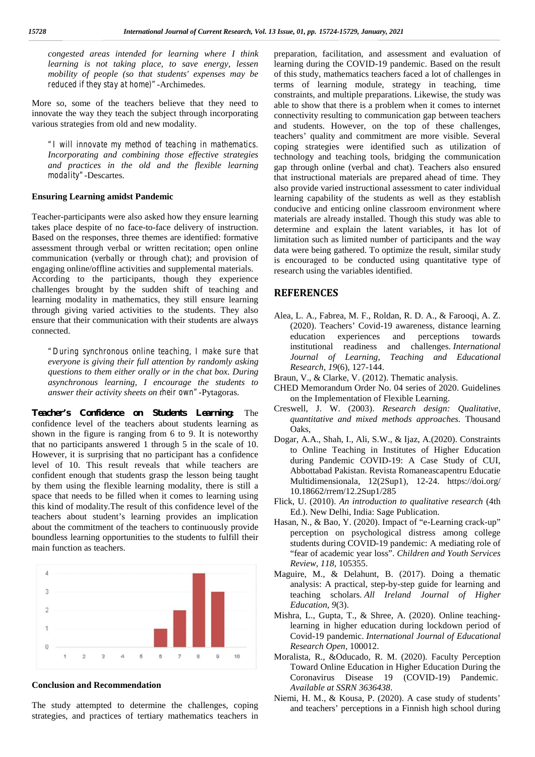*congested areas intended for learning where I think learning is not taking place, to save energy, lessen mobility of people (so that students' expenses may be reduced if they stay at home)"-*Archimedes.

More so, some of the teachers believe that they need to innovate the way they teach the subject through incorporating various strategies from old and new modality.

*"I will innovate my method of teaching in mathematics. Incorporating and combining those effective strategies and practices in the old and the flexible learning modality"-*Descartes.

#### **Ensuring Learning amidst Pandemic**

Teacher-participants were also asked how they ensure learning takes place despite of no face-to-face delivery of instruction. Based on the responses, three themes are identified: formative assessment through verbal or written recitation; open online communication (verbally or through chat); and provision of engaging online/offline activities and supplemental materials. According to the participants, though they experience challenges brought by the sudden shift of teaching and learning modality in mathematics, they still ensure learning through giving varied activities to the students. They also ensure that their communication with their students are always connected.

*"During synchronous online teaching, I make sure that Euring synchronous online teaching, I make sure mail Journal of Learning, everyone is giving their full attention by randomly asking questions to them either orally or in the chat box. During asynchronous learning, I encourage the students to answer their activity sheets on their own"-*Pytagoras.

**Teacher's Confidence on Students Learning:** The confidence level of the teachers about students learning as shown in the figure is ranging from 6 to 9. It is noteworthy that no participants answered 1 through 5 in the scale of 10. However, it is surprising that no participant has a confidence level of 10. This result reveals that while teachers are confident enough that students grasp the lesson being taught by them using the flexible learning modality, there is still a space that needs to be filled when it comes to learning using this kind of modality.The result of this confidence level of the teachers about student's learning provides an implication about the commitment of the teachers to continuously provide boundless learning opportunities to the students to fulfill their main function as teachers.



#### **Conclusion and Recommendation**

The study attempted to determine the challenges, coping strategies, and practices of tertiary mathematics teachers in preparation, facilitation, and assessment and evaluation of learning during the COVID-19 pandemic. Based on the result of this study, mathematics teachers faced a lot of challenges in terms of learning module, strategy in teaching, time constraints, and multiple preparations. Likewise, the study was able to show that there is a problem when it comes to internet connectivity resulting to communication gap between teachers and students. However, on the top of these challenges, teachers' quality and commitment are more visible. Several coping strategies were identified such as utilization of technology and teaching tools, bridging the communication gap through online (verbal and chat). Teachers also ensured that instructional materials are prepared ahead of time. They also provide varied instructional assessment to cater individual learning capability of the students as well as they establish conducive and enticing online classroom environment where materials are already installed. Though this study was able to determine and explain the latent variables, it has lot of limitation such as limited number of participants and the way data were being gathered. To optimize the result, similar study is encouraged to be conducted using quantitative type of research using the variables identified.

### **REFERENCES**

- Alea, L. A., Fabrea, M. F., Roldan, R. D. A., & Farooqi, A. Z. (2020). Teachers' Covid-19 awareness, distance learning education experiences and perceptions towards institutional readiness and challenges. *International Journal of Learning, Teaching and Educational Research*, *19*(6), 127-144.
- Braun, V., & Clarke, V. (2012). Thematic analysis.
- CHED Memorandum Order No. 04 series of 2020. Guidelines on the Implementation of Flexible Learning.
- Creswell, J. W. (2003). *Research design: Qualitative, quantitative and mixed methods approaches.* Thousand Oaks,
- Dogar, A.A., Shah, I., Ali, S.W., & Ijaz, A.(2020). Constraints to Online Teaching in Institutes of Higher Education during Pandemic COVID-19: A Case Study of CUI, Abbottabad Pakistan. Revista Romaneascapentru Educatie Multidimensionala, 12(2Sup1), 12-24. https://doi.org/ 10.18662/rrem/12.2Sup1/285
- Flick, U. (2010). *An introduction to qualitative research* (4th Ed.). New Delhi, India: Sage Publication.
- Hasan, N., & Bao, Y. (2020). Impact of "e-Learning crack-up" perception on psychological distress among college students during COVID-19 pandemic: A mediating role of "fear of academic year loss". *Children and Youth Services Review*, *118*, 105355.
- Maguire, M., & Delahunt, B. (2017). Doing a thematic analysis: A practical, step-by-step guide for learning and teaching scholars. *All Ireland Journal of Higher Education*, *9*(3).
- Mishra, L., Gupta, T., & Shree, A. (2020). Online teachinglearning in higher education during lockdown period of Covid-19 pandemic. *International Journal of Educational Research Open*, 100012.
- Moralista, R., &Oducado, R. M. (2020). Faculty Perception Toward Online Education in Higher Education During the Coronavirus Disease 19 (COVID-19) Pandemic. *Available at SSRN 3636438*.
- Niemi, H. M., & Kousa, P. (2020). A case study of students' and teachers' perceptions in a Finnish high school during